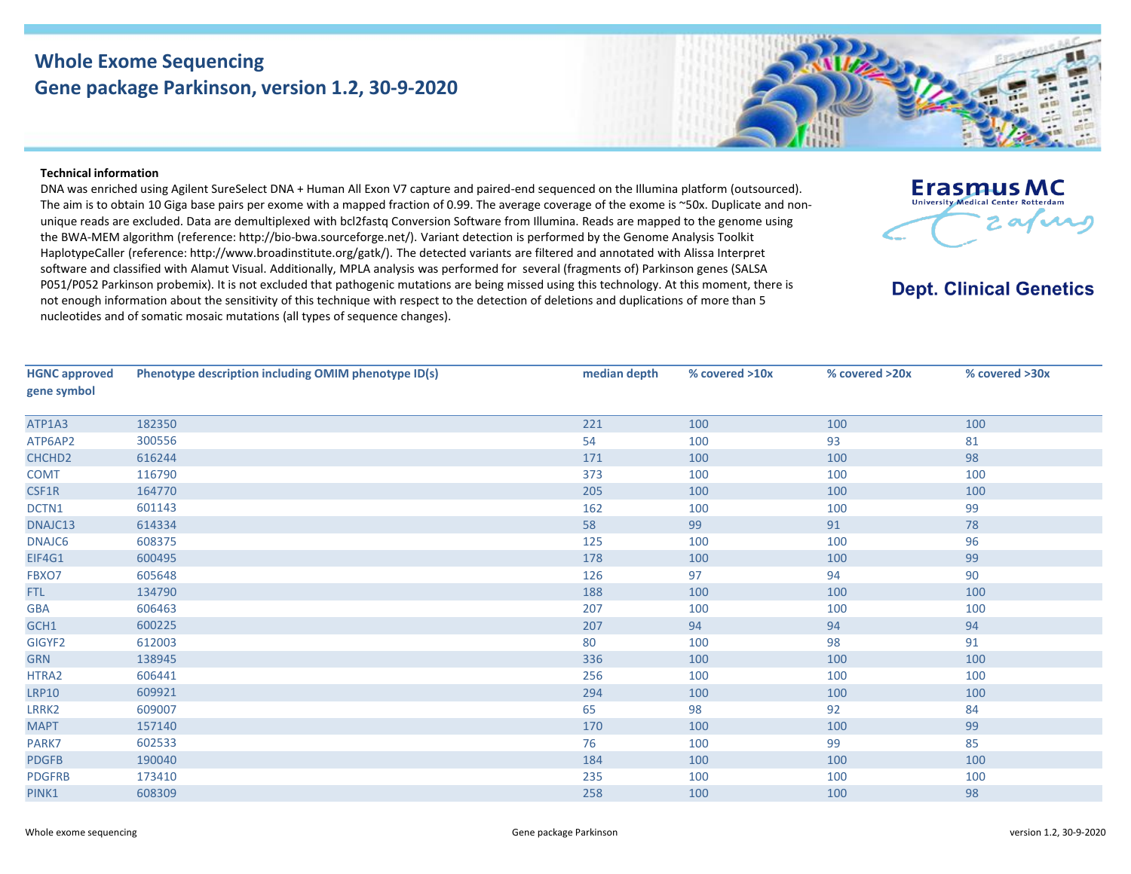## **Whole Exome Sequencing Gene package Parkinson, version 1.2, 30-9-2020**

## **Technical information**

DNA was enriched using Agilent SureSelect DNA + Human All Exon V7 capture and paired-end sequenced on the Illumina platform (outsourced). The aim is to obtain 10 Giga base pairs per exome with a mapped fraction of 0.99. The average coverage of the exome is ~50x. Duplicate and nonunique reads are excluded. Data are demultiplexed with bcl2fastq Conversion Software from Illumina. Reads are mapped to the genome using the BWA-MEM algorithm (reference: http://bio‐bwa.sourceforge.net/). Variant detection is performed by the Genome Analysis Toolkit HaplotypeCaller (reference: http://www.broadinstitute.org/gatk/). The detected variants are filtered and annotated with Alissa Interpret software and classified with Alamut Visual. Additionally, MPLA analysis was performed for several (fragments of) Parkinson genes (SALSA P051/P052 Parkinson probemix). It is not excluded that pathogenic mutations are being missed using this technology. At this moment, there is not enough information about the sensitivity of this technique with respect to the detection of deletions and duplications of more than 5 nucleotides and of somatic mosaic mutations (all types of sequence changes).

**HGNC approved gene symbol Phenotype description including OMIM phenotype ID(s) median depth % covered >10x % covered >20x % covered >30x** ATP1A3 [182350](https://omim.org/entry/182350) 221 100 100 100 ATP6AP2 [300556](https://omim.org/entry/300556) 54 100 93 81 CHCHD2 [616244](https://omim.org/entry/616244) 616244 5 (1990) 88 (1991) 88 (1991) 88 (1991) 88 (1991) 88 (1991) 88 (1991) 88 (1992) 88 (1992) COMT [116790](https://omim.org/entry/116790) 373 100 100 100 CSF1R [164770](https://omim.org/entry/164770) 205 100 100 100 DCTN1 [601143](https://omim.org/entry/601143) 601143 601143 601143 601143 601143 601143 601143 601143 601143 601143 601143 601143 601143 601143 DNAJC13 [614334](https://omim.org/entry/614334) 58 99 91 78 DNAJC6 [608375](https://omim.org/entry/608375) 125 100 100 96 EIF4G1 [600495](https://omim.org/entry/600495) 178 100 100 99 FBXO7 [605648](https://omim.org/entry/605648) 605648 605648 97 97 97 98 97 97 97 97 97 97 97 97 97 97 98 97 98 97 98 97 98 97 98 97 98 99 99 99 FTL [134790](https://omim.org/entry/134790) 188 100 100 100 GBA [606463](https://omim.org/entry/606463) 606463 207 100 100 100 100 GCH1 [600225](https://omim.org/entry/600225) 600225 207 94 94 GIGYF2 [612003](https://omim.org/entry/612003) 612003 612003 80 80 98 91 GRN [138945](https://omim.org/entry/138945) 336 100 100 100 HTRA2 [606441](https://omim.org/entry/606441) 606441 256 256 100 100 100 100 100 LRP10 [609921](https://omim.org/entry/609921) 294 100 100 100 LRRK2 [609007](https://omim.org/entry/609007) 65 98 92 84 MAPT [157140](https://omim.org/entry/157140) 170 100 100 99 PARK7 [602533](https://omim.org/entry/602533) 602533 602533 85 PDGFB [190040](https://omim.org/entry/190040) 184 100 100 100 PDGFRB [173410](https://omim.org/entry/173410) 235 100 100 100 PINK1 [608309](https://omim.org/entry/608309) 258 100 100 38



**Dept. Clinical Genetics**